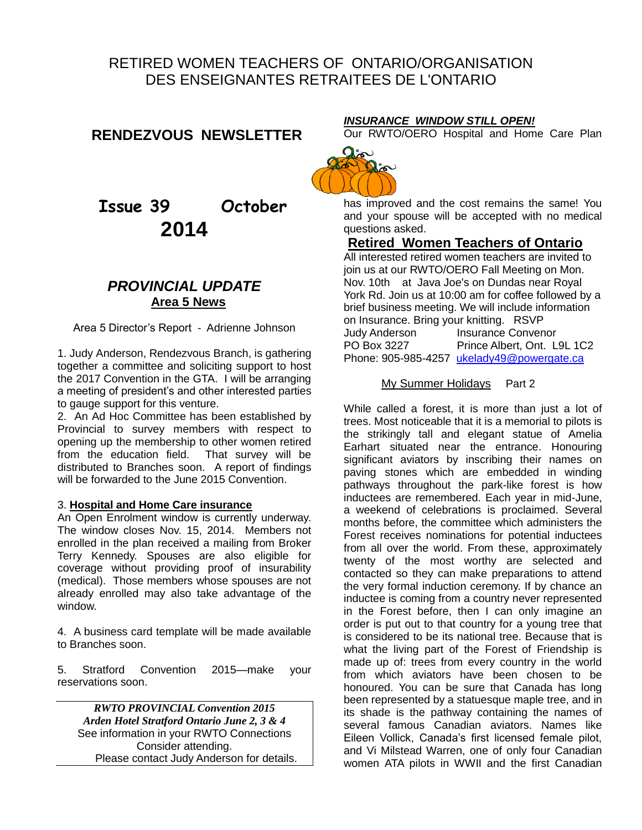# RETIRED WOMEN TEACHERS OF ONTARIO/ORGANISATION DES ENSEIGNANTES RETRAITEES DE L'ONTARIO

### **RENDEZVOUS NEWSLETTER**

 **Issue 39 October 2014**

# *PROVINCIAL UPDATE* **Area 5 News**

Area 5 Director's Report - Adrienne Johnson

1. Judy Anderson, Rendezvous Branch, is gathering together a committee and soliciting support to host the 2017 Convention in the GTA. I will be arranging a meeting of president's and other interested parties to gauge support for this venture.

2. An Ad Hoc Committee has been established by Provincial to survey members with respect to opening up the membership to other women retired from the education field. That survey will be distributed to Branches soon. A report of findings will be forwarded to the June 2015 Convention

#### 3. **Hospital and Home Care insurance**

An Open Enrolment window is currently underway. The window closes Nov. 15, 2014. Members not enrolled in the plan received a mailing from Broker Terry Kennedy. Spouses are also eligible for coverage without providing proof of insurability (medical). Those members whose spouses are not already enrolled may also take advantage of the window.

4. A business card template will be made available to Branches soon.

5. Stratford Convention 2015—make your reservations soon.

*RWTO PROVINCIAL Convention 2015 Arden Hotel Stratford Ontario June 2, 3 & 4*  See information in your RWTO Connections Consider attending. Please contact Judy Anderson for details.

### *INSURANCE WINDOW STILL OPEN!*

Our RWTO/OERO Hospital and Home Care Plan



has improved and the cost remains the same! You and your spouse will be accepted with no medical questions asked.

### **Retired Women Teachers of Ontario**

All interested retired women teachers are invited to join us at our RWTO/OERO Fall Meeting on Mon. Nov. 10th at Java Joe's on Dundas near Royal York Rd. Join us at 10:00 am for coffee followed by a brief business meeting. We will include information on Insurance. Bring your knitting. RSVP Judy Anderson Insurance Convenor<br>PO Box 3227 Prince Albert, Ont. L Prince Albert, Ont. L9L 1C2 Phone: 905-985-4257 [ukelady49@powergate.ca](mailto:ukelady49@powergate.ca)

### My Summer Holidays Part 2

While called a forest, it is more than just a lot of trees. Most noticeable that it is a memorial to pilots is the strikingly tall and elegant statue of Amelia Earhart situated near the entrance. Honouring significant aviators by inscribing their names on paving stones which are embedded in winding pathways throughout the park-like forest is how inductees are remembered. Each year in mid-June, a weekend of celebrations is proclaimed. Several months before, the committee which administers the Forest receives nominations for potential inductees from all over the world. From these, approximately twenty of the most worthy are selected and contacted so they can make preparations to attend the very formal induction ceremony. If by chance an inductee is coming from a country never represented in the Forest before, then I can only imagine an order is put out to that country for a young tree that is considered to be its national tree. Because that is what the living part of the Forest of Friendship is made up of: trees from every country in the world from which aviators have been chosen to be honoured. You can be sure that Canada has long been represented by a statuesque maple tree, and in its shade is the pathway containing the names of several famous Canadian aviators. Names like Eileen Vollick, Canada's first licensed female pilot, and Vi Milstead Warren, one of only four Canadian women ATA pilots in WWII and the first Canadian